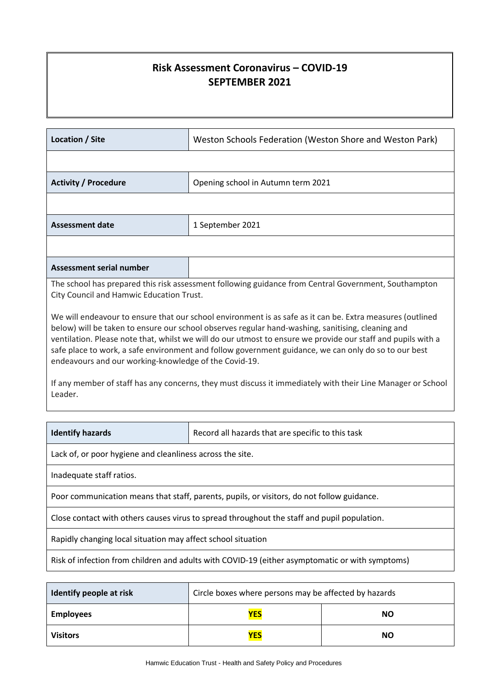# **Risk Assessment Coronavirus – COVID-19 SEPTEMBER 2021**

| Location / Site                                                                                                                                                                                                                                                                                                                                                                                                                                                                                              | Weston Schools Federation (Weston Shore and Weston Park)                                             |  |  |  |
|--------------------------------------------------------------------------------------------------------------------------------------------------------------------------------------------------------------------------------------------------------------------------------------------------------------------------------------------------------------------------------------------------------------------------------------------------------------------------------------------------------------|------------------------------------------------------------------------------------------------------|--|--|--|
|                                                                                                                                                                                                                                                                                                                                                                                                                                                                                                              |                                                                                                      |  |  |  |
| <b>Activity / Procedure</b><br>Opening school in Autumn term 2021                                                                                                                                                                                                                                                                                                                                                                                                                                            |                                                                                                      |  |  |  |
|                                                                                                                                                                                                                                                                                                                                                                                                                                                                                                              |                                                                                                      |  |  |  |
| <b>Assessment date</b>                                                                                                                                                                                                                                                                                                                                                                                                                                                                                       | 1 September 2021                                                                                     |  |  |  |
|                                                                                                                                                                                                                                                                                                                                                                                                                                                                                                              |                                                                                                      |  |  |  |
| <b>Assessment serial number</b>                                                                                                                                                                                                                                                                                                                                                                                                                                                                              |                                                                                                      |  |  |  |
| City Council and Hamwic Education Trust.                                                                                                                                                                                                                                                                                                                                                                                                                                                                     | The school has prepared this risk assessment following guidance from Central Government, Southampton |  |  |  |
| below) will be taken to ensure our school observes regular hand-washing, sanitising, cleaning and<br>ventilation. Please note that, whilst we will do our utmost to ensure we provide our staff and pupils with a<br>safe place to work, a safe environment and follow government guidance, we can only do so to our best<br>endeavours and our working-knowledge of the Covid-19.<br>If any member of staff has any concerns, they must discuss it immediately with their Line Manager or School<br>Leader. |                                                                                                      |  |  |  |
|                                                                                                                                                                                                                                                                                                                                                                                                                                                                                                              |                                                                                                      |  |  |  |
| <b>Identify hazards</b>                                                                                                                                                                                                                                                                                                                                                                                                                                                                                      | Record all hazards that are specific to this task                                                    |  |  |  |
| Lack of, or poor hygiene and cleanliness across the site.                                                                                                                                                                                                                                                                                                                                                                                                                                                    |                                                                                                      |  |  |  |
| Inadequate staff ratios.                                                                                                                                                                                                                                                                                                                                                                                                                                                                                     |                                                                                                      |  |  |  |
| Poor communication means that staff, parents, pupils, or visitors, do not follow guidance.                                                                                                                                                                                                                                                                                                                                                                                                                   |                                                                                                      |  |  |  |
| Close contact with others causes virus to spread throughout the staff and pupil population.                                                                                                                                                                                                                                                                                                                                                                                                                  |                                                                                                      |  |  |  |
| Rapidly changing local situation may affect school situation                                                                                                                                                                                                                                                                                                                                                                                                                                                 |                                                                                                      |  |  |  |
| Risk of infection from children and adults with COVID-19 (either asymptomatic or with symptoms)                                                                                                                                                                                                                                                                                                                                                                                                              |                                                                                                      |  |  |  |

| Identify people at risk | Circle boxes where persons may be affected by hazards |           |  |
|-------------------------|-------------------------------------------------------|-----------|--|
| <b>Employees</b>        | <b>YES</b><br><b>NO</b>                               |           |  |
| <b>Visitors</b>         | <b>YES</b>                                            | <b>NO</b> |  |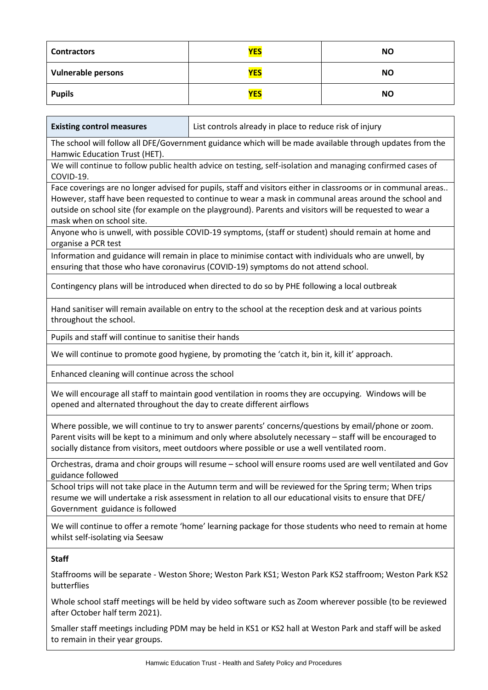| <b>Contractors</b>        | <b>YES</b> | <b>NO</b> |
|---------------------------|------------|-----------|
| <b>Vulnerable persons</b> | <b>YES</b> | <b>NO</b> |
| <b>Pupils</b>             | <b>YES</b> | <b>NO</b> |

Ť

٦

 $\mathbf{r}$ 

| <b>Existing control measures</b>                                      | List controls already in place to reduce risk of injury                                                                                                                                                                                                                                                                            |  |  |  |  |
|-----------------------------------------------------------------------|------------------------------------------------------------------------------------------------------------------------------------------------------------------------------------------------------------------------------------------------------------------------------------------------------------------------------------|--|--|--|--|
| Hamwic Education Trust (HET).                                         | The school will follow all DFE/Government guidance which will be made available through updates from the                                                                                                                                                                                                                           |  |  |  |  |
| COVID-19.                                                             | We will continue to follow public health advice on testing, self-isolation and managing confirmed cases of                                                                                                                                                                                                                         |  |  |  |  |
| mask when on school site.                                             | Face coverings are no longer advised for pupils, staff and visitors either in classrooms or in communal areas<br>However, staff have been requested to continue to wear a mask in communal areas around the school and<br>outside on school site (for example on the playground). Parents and visitors will be requested to wear a |  |  |  |  |
| organise a PCR test                                                   | Anyone who is unwell, with possible COVID-19 symptoms, (staff or student) should remain at home and                                                                                                                                                                                                                                |  |  |  |  |
|                                                                       | Information and guidance will remain in place to minimise contact with individuals who are unwell, by<br>ensuring that those who have coronavirus (COVID-19) symptoms do not attend school.                                                                                                                                        |  |  |  |  |
|                                                                       | Contingency plans will be introduced when directed to do so by PHE following a local outbreak                                                                                                                                                                                                                                      |  |  |  |  |
| throughout the school.                                                | Hand sanitiser will remain available on entry to the school at the reception desk and at various points                                                                                                                                                                                                                            |  |  |  |  |
| Pupils and staff will continue to sanitise their hands                |                                                                                                                                                                                                                                                                                                                                    |  |  |  |  |
|                                                                       | We will continue to promote good hygiene, by promoting the 'catch it, bin it, kill it' approach.                                                                                                                                                                                                                                   |  |  |  |  |
| Enhanced cleaning will continue across the school                     |                                                                                                                                                                                                                                                                                                                                    |  |  |  |  |
| opened and alternated throughout the day to create different airflows | We will encourage all staff to maintain good ventilation in rooms they are occupying. Windows will be                                                                                                                                                                                                                              |  |  |  |  |
|                                                                       | Where possible, we will continue to try to answer parents' concerns/questions by email/phone or zoom.<br>Parent visits will be kept to a minimum and only where absolutely necessary - staff will be encouraged to<br>socially distance from visitors, meet outdoors where possible or use a well ventilated room.                 |  |  |  |  |
| guidance followed                                                     | Orchestras, drama and choir groups will resume - school will ensure rooms used are well ventilated and Gov                                                                                                                                                                                                                         |  |  |  |  |
| Government guidance is followed                                       | School trips will not take place in the Autumn term and will be reviewed for the Spring term; When trips<br>resume we will undertake a risk assessment in relation to all our educational visits to ensure that DFE/                                                                                                               |  |  |  |  |
| whilst self-isolating via Seesaw                                      | We will continue to offer a remote 'home' learning package for those students who need to remain at home                                                                                                                                                                                                                           |  |  |  |  |
| <b>Staff</b><br>butterflies                                           | Staffrooms will be separate - Weston Shore; Weston Park KS1; Weston Park KS2 staffroom; Weston Park KS2                                                                                                                                                                                                                            |  |  |  |  |

Whole school staff meetings will be held by video software such as Zoom wherever possible (to be reviewed after October half term 2021).

Smaller staff meetings including PDM may be held in KS1 or KS2 hall at Weston Park and staff will be asked to remain in their year groups.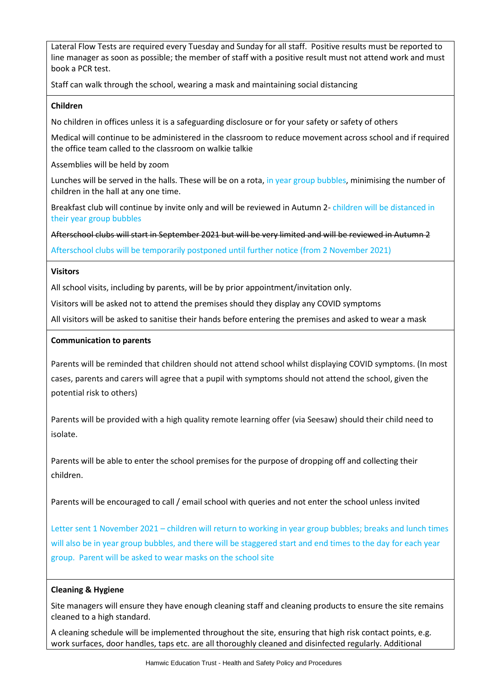Lateral Flow Tests are required every Tuesday and Sunday for all staff. Positive results must be reported to line manager as soon as possible; the member of staff with a positive result must not attend work and must book a PCR test.

Staff can walk through the school, wearing a mask and maintaining social distancing

#### **Children**

No children in offices unless it is a safeguarding disclosure or for your safety or safety of others

Medical will continue to be administered in the classroom to reduce movement across school and if required the office team called to the classroom on walkie talkie

Assemblies will be held by zoom

Lunches will be served in the halls. These will be on a rota, in year group bubbles, minimising the number of children in the hall at any one time.

Breakfast club will continue by invite only and will be reviewed in Autumn 2- children will be distanced in their year group bubbles

Afterschool clubs will start in September 2021 but will be very limited and will be reviewed in Autumn 2

Afterschool clubs will be temporarily postponed until further notice (from 2 November 2021)

### **Visitors**

All school visits, including by parents, will be by prior appointment/invitation only.

Visitors will be asked not to attend the premises should they display any COVID symptoms

All visitors will be asked to sanitise their hands before entering the premises and asked to wear a mask

### **Communication to parents**

Parents will be reminded that children should not attend school whilst displaying COVID symptoms. (In most cases, parents and carers will agree that a pupil with symptoms should not attend the school, given the potential risk to others)

Parents will be provided with a high quality remote learning offer (via Seesaw) should their child need to isolate.

Parents will be able to enter the school premises for the purpose of dropping off and collecting their children.

Parents will be encouraged to call / email school with queries and not enter the school unless invited

Letter sent 1 November 2021 – children will return to working in year group bubbles; breaks and lunch times will also be in year group bubbles, and there will be staggered start and end times to the day for each year group. Parent will be asked to wear masks on the school site

#### **Cleaning & Hygiene**

Site managers will ensure they have enough cleaning staff and cleaning products to ensure the site remains cleaned to a high standard.

A cleaning schedule will be implemented throughout the site, ensuring that high risk contact points, e.g. work surfaces, door handles, taps etc. are all thoroughly cleaned and disinfected regularly. Additional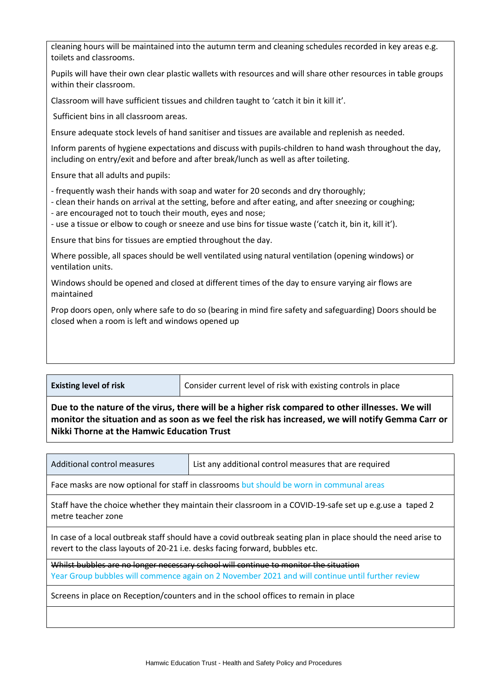cleaning hours will be maintained into the autumn term and cleaning schedules recorded in key areas e.g. toilets and classrooms.

Pupils will have their own clear plastic wallets with resources and will share other resources in table groups within their classroom.

Classroom will have sufficient tissues and children taught to 'catch it bin it kill it'.

Sufficient bins in all classroom areas.

Ensure adequate stock levels of hand sanitiser and tissues are available and replenish as needed.

Inform parents of hygiene expectations and discuss with pupils-children to hand wash throughout the day, including on entry/exit and before and after break/lunch as well as after toileting.

Ensure that all adults and pupils:

- frequently wash their hands with soap and water for 20 seconds and dry thoroughly;

- clean their hands on arrival at the setting, before and after eating, and after sneezing or coughing;

- are encouraged not to touch their mouth, eyes and nose;

- use a tissue or elbow to cough or sneeze and use bins for tissue waste ('catch it, bin it, kill it').

Ensure that bins for tissues are emptied throughout the day.

Where possible, all spaces should be well ventilated using natural ventilation (opening windows) or ventilation units.

Windows should be opened and closed at different times of the day to ensure varying air flows are maintained

Prop doors open, only where safe to do so (bearing in mind fire safety and safeguarding) Doors should be closed when a room is left and windows opened up

| <b>Existing level of risk</b> | Consider current level of risk with existing controls in place |
|-------------------------------|----------------------------------------------------------------|
|                               |                                                                |

**Due to the nature of the virus, there will be a higher risk compared to other illnesses. We will monitor the situation and as soon as we feel the risk has increased, we will notify Gemma Carr or Nikki Thorne at the Hamwic Education Trust**

| Additional control measures                                                                                                                                                                   | List any additional control measures that are required |  |  |  |  |
|-----------------------------------------------------------------------------------------------------------------------------------------------------------------------------------------------|--------------------------------------------------------|--|--|--|--|
| Face masks are now optional for staff in classrooms but should be worn in communal areas                                                                                                      |                                                        |  |  |  |  |
| Staff have the choice whether they maintain their classroom in a COVID-19-safe set up e.g.use a taped 2<br>metre teacher zone                                                                 |                                                        |  |  |  |  |
| In case of a local outbreak staff should have a covid outbreak seating plan in place should the need arise to<br>revert to the class layouts of 20-21 i.e. desks facing forward, bubbles etc. |                                                        |  |  |  |  |
| Whilst bubbles are no longer necessary school will continue to monitor the situation<br>Year Group bubbles will commence again on 2 November 2021 and will continue until further review      |                                                        |  |  |  |  |
| Screens in place on Reception/counters and in the school offices to remain in place                                                                                                           |                                                        |  |  |  |  |
|                                                                                                                                                                                               |                                                        |  |  |  |  |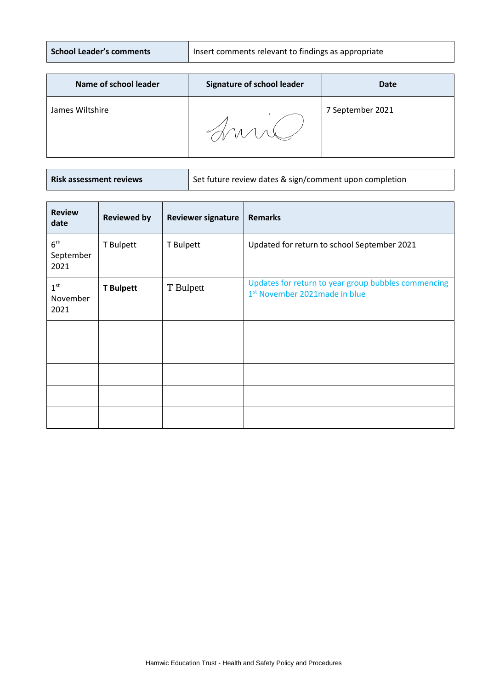| <b>School Leader's comments</b> | I Insert comments relevant to findings as appropriate |
|---------------------------------|-------------------------------------------------------|
|---------------------------------|-------------------------------------------------------|

| Name of school leader | <b>Signature of school leader</b> | <b>Date</b>      |
|-----------------------|-----------------------------------|------------------|
| James Wiltshire       |                                   | 7 September 2021 |

**Risk assessment Risk assessesses** Set future review dates & sign/comment upon completion

| <b>Review</b><br>date                | <b>Reviewed by</b> | <b>Reviewer signature</b> | <b>Remarks</b>                                                                                   |
|--------------------------------------|--------------------|---------------------------|--------------------------------------------------------------------------------------------------|
| 6 <sup>th</sup><br>September<br>2021 | T Bulpett          | T Bulpett                 | Updated for return to school September 2021                                                      |
| 1 <sup>st</sup><br>November<br>2021  | <b>T</b> Bulpett   | T Bulpett                 | Updates for return to year group bubbles commencing<br>1 <sup>st</sup> November 2021made in blue |
|                                      |                    |                           |                                                                                                  |
|                                      |                    |                           |                                                                                                  |
|                                      |                    |                           |                                                                                                  |
|                                      |                    |                           |                                                                                                  |
|                                      |                    |                           |                                                                                                  |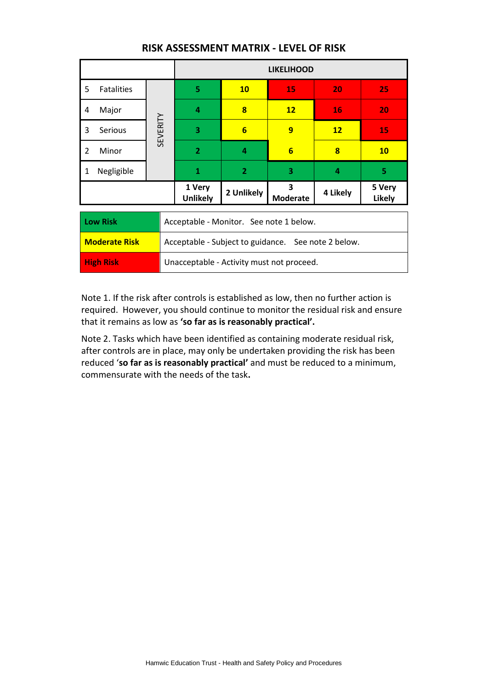|                        |                                                     | <b>LIKELIHOOD</b>                         |                         |                      |          |                         |
|------------------------|-----------------------------------------------------|-------------------------------------------|-------------------------|----------------------|----------|-------------------------|
| <b>Fatalities</b><br>5 |                                                     | 5                                         | <b>10</b>               | 15                   | 20       | 25                      |
| Major<br>4             |                                                     | 4                                         | 8                       | $12 \overline{ }$    | 16       | 20                      |
| 3<br><b>Serious</b>    | SEVERITY                                            | 3                                         | $6\overline{}$          | 9                    | 12       | <b>15</b>               |
| 2<br>Minor             |                                                     | $\overline{2}$                            | $\overline{\mathbf{4}}$ | $6\phantom{1}6$      | 8        | <b>10</b>               |
| Negligible<br>1        |                                                     | 1                                         | $\overline{2}$          | 3                    | 4        | 5                       |
|                        |                                                     | 1 Very<br><b>Unlikely</b>                 | 2 Unlikely              | 3<br><b>Moderate</b> | 4 Likely | 5 Very<br><b>Likely</b> |
| <b>Low Risk</b>        |                                                     | Acceptable - Monitor. See note 1 below.   |                         |                      |          |                         |
| <b>Moderate Risk</b>   | Acceptable - Subject to guidance. See note 2 below. |                                           |                         |                      |          |                         |
| <b>High Risk</b>       |                                                     | Unacceptable - Activity must not proceed. |                         |                      |          |                         |

## **RISK ASSESSMENT MATRIX - LEVEL OF RISK**

Note 1. If the risk after controls is established as low, then no further action is required. However, you should continue to monitor the residual risk and ensure that it remains as low as **'so far as is reasonably practical'.**

Note 2. Tasks which have been identified as containing moderate residual risk, after controls are in place, may only be undertaken providing the risk has been reduced '**so far as is reasonably practical'** and must be reduced to a minimum, commensurate with the needs of the task**.**